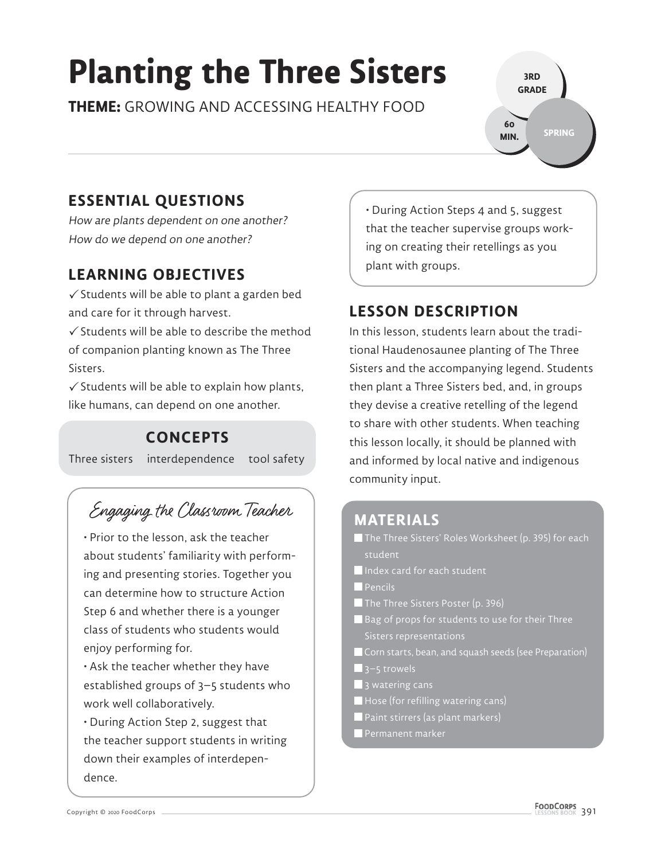# **Planting the Three Sisters**

**THEME:** GROWING AND ACCESSING HEALTHY FOOD

**3RD GRADE SPRING 60 MIN.**

# **ESSENTIAL QUESTIONS**

How are plants dependent on one another? How do we depend on one another?

## **LEARNING OBJECTIVES**

 $\checkmark$  Students will be able to plant a garden bed and care for it through harvest.

 $\checkmark$  Students will be able to describe the method of companion planting known as The Three Sisters.

 $\checkmark$  Students will be able to explain how plants, like humans, can depend on one another.

#### **CONCEPTS**

Three sisters interdependence tool safety

# Engaging the Classroom Teacher

• Prior to the lesson, ask the teacher about students' familiarity with performing and presenting stories. Together you can determine how to structure Action Step 6 and whether there is a younger class of students who students would enjoy performing for.

• Ask the teacher whether they have established groups of 3–5 students who work well collaboratively.

• During Action Step 2, suggest that the teacher support students in writing down their examples of interdependence.

• During Action Steps 4 and 5, suggest that the teacher supervise groups working on creating their retellings as you plant with groups.

### **LESSON DESCRIPTION**

In this lesson, students learn about the traditional Haudenosaunee planting of The Three Sisters and the accompanying legend. Students then plant a Three Sisters bed, and, in groups they devise a creative retelling of the legend to share with other students. When teaching this lesson locally, it should be planned with and informed by local native and indigenous community input.

#### **MATERIALS**

- The Three Sisters' Roles Worksheet (p. 395) for each student
- Index card for each student
- **Pencils**
- The Three Sisters Poster (p. 396)
- Bag of props for students to use for their Three Sisters representations
- Corn starts, bean, and squash seeds (see Preparation)
- $\blacksquare$  3–5 trowels
- $\blacksquare$  3 watering cans
- $\blacksquare$  Hose (for refilling watering cans)
- Paint stirrers (as plant markers)
- Permanent marker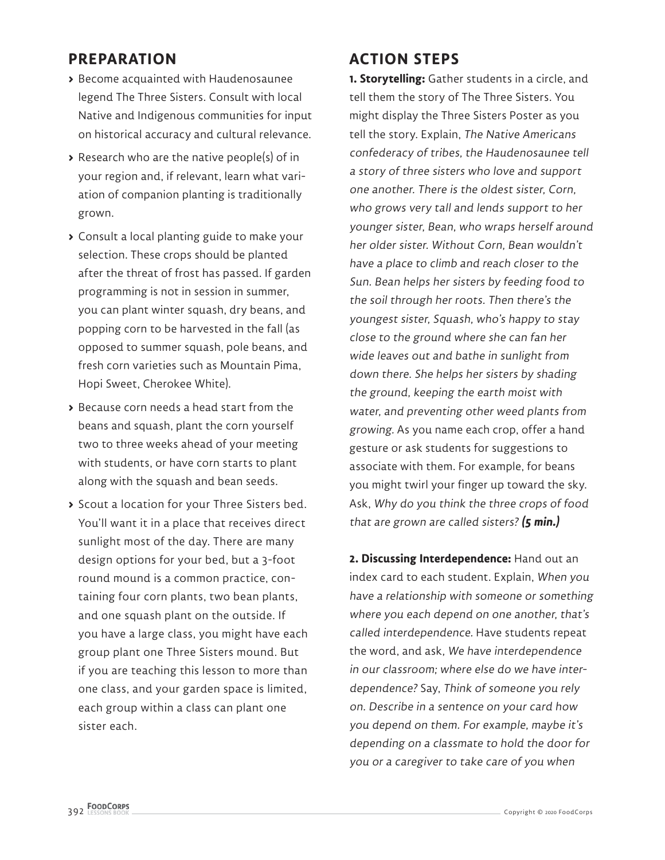#### **PREPARATION**

- **>** Become acquainted with Haudenosaunee legend The Three Sisters. Consult with local Native and Indigenous communities for input on historical accuracy and cultural relevance.
- **>** Research who are the native people(s) of in your region and, if relevant, learn what variation of companion planting is traditionally grown.
- **>** Consult a local planting guide to make your selection. These crops should be planted after the threat of frost has passed. If garden programming is not in session in summer, you can plant winter squash, dry beans, and popping corn to be harvested in the fall (as opposed to summer squash, pole beans, and fresh corn varieties such as Mountain Pima, Hopi Sweet, Cherokee White).
- **>** Because corn needs a head start from the beans and squash, plant the corn yourself two to three weeks ahead of your meeting with students, or have corn starts to plant along with the squash and bean seeds.
- **>** Scout a location for your Three Sisters bed. You'll want it in a place that receives direct sunlight most of the day. There are many design options for your bed, but a 3-foot round mound is a common practice, containing four corn plants, two bean plants, and one squash plant on the outside. If you have a large class, you might have each group plant one Three Sisters mound. But if you are teaching this lesson to more than one class, and your garden space is limited, each group within a class can plant one sister each.

#### **ACTION STEPS**

**1. Storytelling:** Gather students in a circle, and tell them the story of The Three Sisters. You might display the Three Sisters Poster as you tell the story. Explain, The Native Americans confederacy of tribes, the Haudenosaunee tell a story of three sisters who love and support one another. There is the oldest sister, Corn, who grows very tall and lends support to her younger sister, Bean, who wraps herself around her older sister. Without Corn, Bean wouldn't have a place to climb and reach closer to the Sun. Bean helps her sisters by feeding food to the soil through her roots. Then there's the youngest sister, Squash, who's happy to stay close to the ground where she can fan her wide leaves out and bathe in sunlight from down there. She helps her sisters by shading the ground, keeping the earth moist with water, and preventing other weed plants from growing. As you name each crop, offer a hand gesture or ask students for suggestions to associate with them. For example, for beans you might twirl your finger up toward the sky. Ask, Why do you think the three crops of food that are grown are called sisters? **(5 min.)**

**2. Discussing Interdependence:** Hand out an index card to each student. Explain, When you have a relationship with someone or something where you each depend on one another, that's called interdependence. Have students repeat the word, and ask, We have interdependence in our classroom; where else do we have interdependence? Say, Think of someone you rely on. Describe in a sentence on your card how you depend on them. For example, maybe it's depending on a classmate to hold the door for you or a caregiver to take care of you when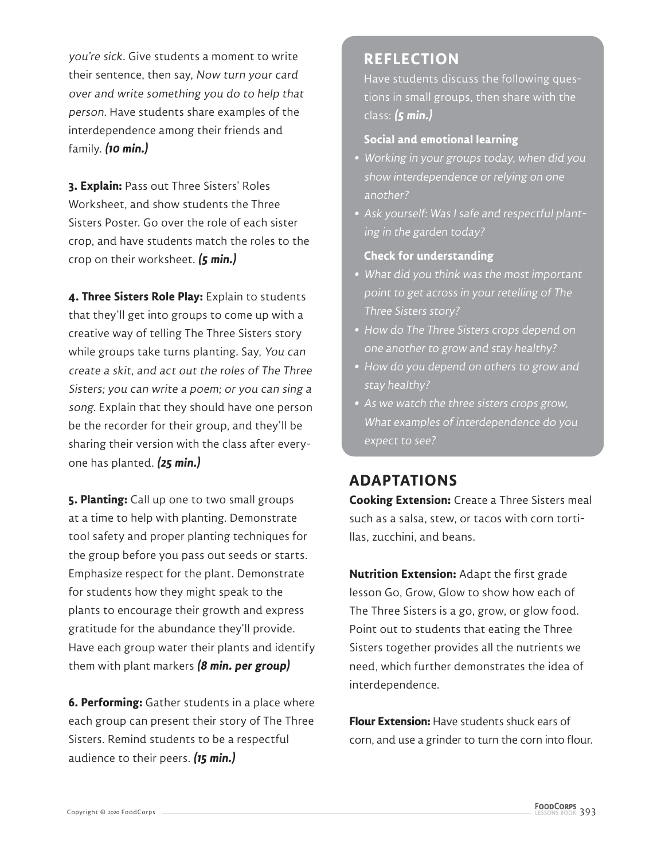you're sick. Give students a moment to write their sentence, then say, Now turn your card over and write something you do to help that person. Have students share examples of the interdependence among their friends and family. **(10 min.)**

**3. Explain:** Pass out Three Sisters' Roles Worksheet, and show students the Three Sisters Poster. Go over the role of each sister crop, and have students match the roles to the crop on their worksheet. **(5 min.)**

**4. Three Sisters Role Play:** Explain to students that they'll get into groups to come up with a creative way of telling The Three Sisters story while groups take turns planting. Say, You can create a skit, and act out the roles of The Three Sisters; you can write a poem; or you can sing a song. Explain that they should have one person be the recorder for their group, and they'll be sharing their version with the class after everyone has planted. **(25 min.)**

**5. Planting:** Call up one to two small groups at a time to help with planting. Demonstrate tool safety and proper planting techniques for the group before you pass out seeds or starts. Emphasize respect for the plant. Demonstrate for students how they might speak to the plants to encourage their growth and express gratitude for the abundance they'll provide. Have each group water their plants and identify them with plant markers **(8 min. per group)**

**6. Performing:** Gather students in a place where each group can present their story of The Three Sisters. Remind students to be a respectful audience to their peers. **(15 min.)**

#### **REFLECTION**

Have students discuss the following questions in small groups, then share with the class: **(5 min.)**

#### **Social and emotional learning**

- **•** Working in your groups today, when did you show interdependence or relying on one another?
- **•** Ask yourself: Was I safe and respectful planting in the garden today?

#### **Check for understanding**

- **•** What did you think was the most important point to get across in your retelling of The Three Sisters story?
- **•** How do The Three Sisters crops depend on one another to grow and stay healthy?
- **•** How do you depend on others to grow and stay healthy?
- **•** As we watch the three sisters crops grow, What examples of interdependence do you expect to see?

#### **ADAPTATIONS**

**Cooking Extension:** Create a Three Sisters meal such as a salsa, stew, or tacos with corn tortillas, zucchini, and beans.

**Nutrition Extension:** Adapt the first grade lesson Go, Grow, Glow to show how each of The Three Sisters is a go, grow, or glow food. Point out to students that eating the Three Sisters together provides all the nutrients we need, which further demonstrates the idea of interdependence.

**Flour Extension:** Have students shuck ears of corn, and use a grinder to turn the corn into flour.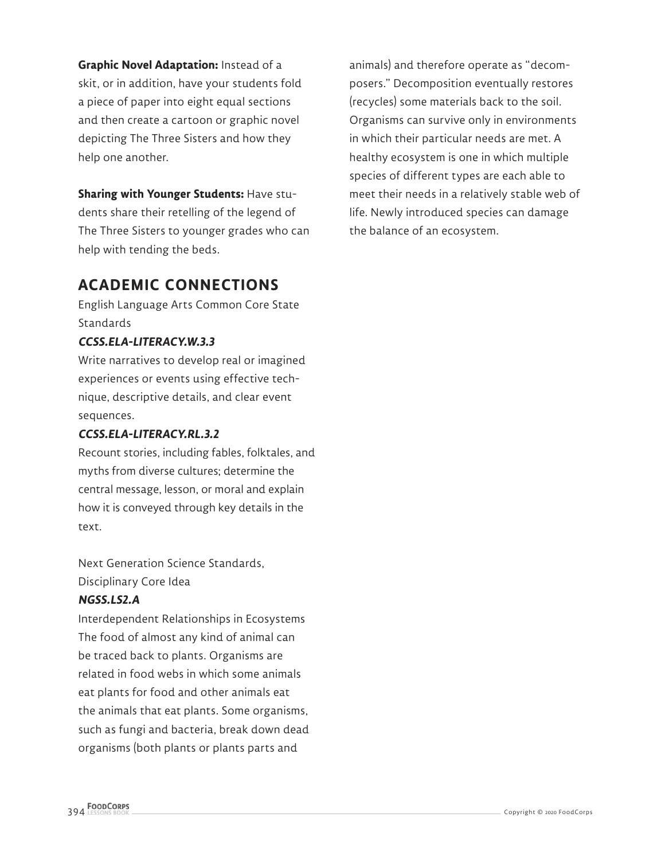**Graphic Novel Adaptation:** Instead of a skit, or in addition, have your students fold a piece of paper into eight equal sections and then create a cartoon or graphic novel depicting The Three Sisters and how they help one another.

**Sharing with Younger Students:** Have students share their retelling of the legend of The Three Sisters to younger grades who can help with tending the beds.

#### **ACADEMIC CONNECTIONS**

English Language Arts Common Core State **Standards** 

#### **CCSS.ELA-LITERACY.W.3.3**

Write narratives to develop real or imagined experiences or events using effective technique, descriptive details, and clear event sequences.

#### **CCSS.ELA-LITERACY.RL.3.2**

Recount stories, including fables, folktales, and myths from diverse cultures; determine the central message, lesson, or moral and explain how it is conveyed through key details in the text.

Next Generation Science Standards, Disciplinary Core Idea

#### **NGSS.LS2.A**

Interdependent Relationships in Ecosystems The food of almost any kind of animal can be traced back to plants. Organisms are related in food webs in which some animals eat plants for food and other animals eat the animals that eat plants. Some organisms, such as fungi and bacteria, break down dead organisms (both plants or plants parts and

animals) and therefore operate as "decomposers." Decomposition eventually restores (recycles) some materials back to the soil. Organisms can survive only in environments in which their particular needs are met. A healthy ecosystem is one in which multiple species of different types are each able to meet their needs in a relatively stable web of life. Newly introduced species can damage the balance of an ecosystem.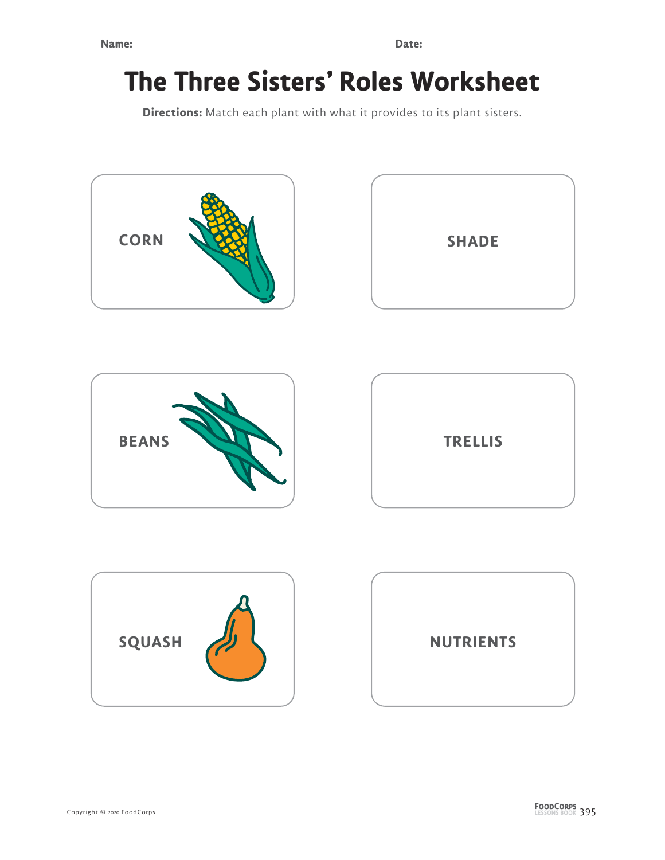# **The Three Sisters' Roles Worksheet**

**Directions:** Match each plant with what it provides to its plant sisters.